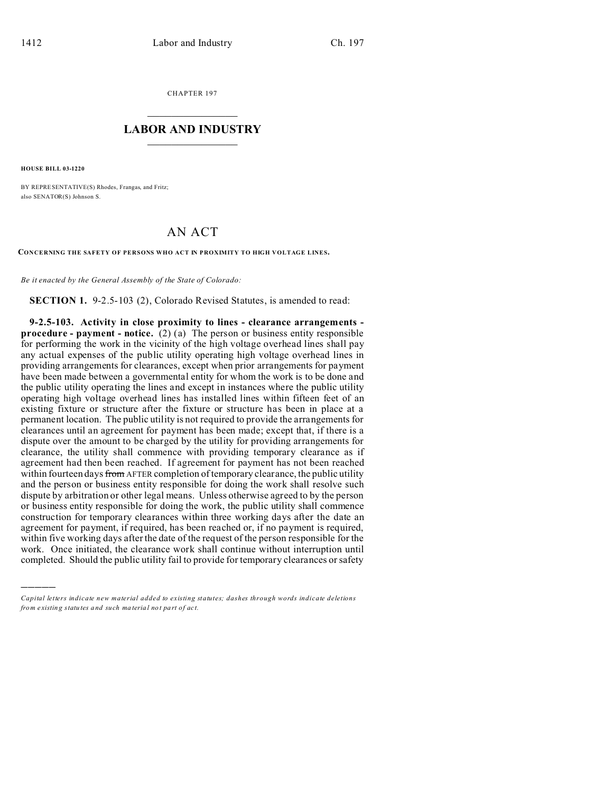CHAPTER 197  $\overline{\phantom{a}}$  , where  $\overline{\phantom{a}}$ 

## **LABOR AND INDUSTRY**  $\frac{1}{\sqrt{2}}$  ,  $\frac{1}{\sqrt{2}}$  ,  $\frac{1}{\sqrt{2}}$  ,  $\frac{1}{\sqrt{2}}$  ,  $\frac{1}{\sqrt{2}}$  ,  $\frac{1}{\sqrt{2}}$

**HOUSE BILL 03-1220**

)))))

BY REPRESENTATIVE(S) Rhodes, Frangas, and Fritz; also SENATOR(S) Johnson S.

## AN ACT

**CONCERNING THE SAFETY OF PERSONS WHO ACT IN PROXIMITY TO HIGH VOLTAGE LINES.**

*Be it enacted by the General Assembly of the State of Colorado:*

**SECTION 1.** 9-2.5-103 (2), Colorado Revised Statutes, is amended to read:

**9-2.5-103. Activity in close proximity to lines - clearance arrangements procedure - payment - notice.** (2) (a) The person or business entity responsible for performing the work in the vicinity of the high voltage overhead lines shall pay any actual expenses of the public utility operating high voltage overhead lines in providing arrangements for clearances, except when prior arrangements for payment have been made between a governmental entity for whom the work is to be done and the public utility operating the lines and except in instances where the public utility operating high voltage overhead lines has installed lines within fifteen feet of an existing fixture or structure after the fixture or structure has been in place at a permanent location. The public utility is not required to provide the arrangements for clearances until an agreement for payment has been made; except that, if there is a dispute over the amount to be charged by the utility for providing arrangements for clearance, the utility shall commence with providing temporary clearance as if agreement had then been reached. If agreement for payment has not been reached within fourteen days from AFTER completion of temporary clearance, the public utility and the person or business entity responsible for doing the work shall resolve such dispute by arbitration or other legal means. Unless otherwise agreed to by the person or business entity responsible for doing the work, the public utility shall commence construction for temporary clearances within three working days after the date an agreement for payment, if required, has been reached or, if no payment is required, within five working days after the date of the request of the person responsible for the work. Once initiated, the clearance work shall continue without interruption until completed. Should the public utility fail to provide for temporary clearances or safety

*Capital letters indicate new material added to existing statutes; dashes through words indicate deletions from e xistin g statu tes a nd such ma teria l no t pa rt of ac t.*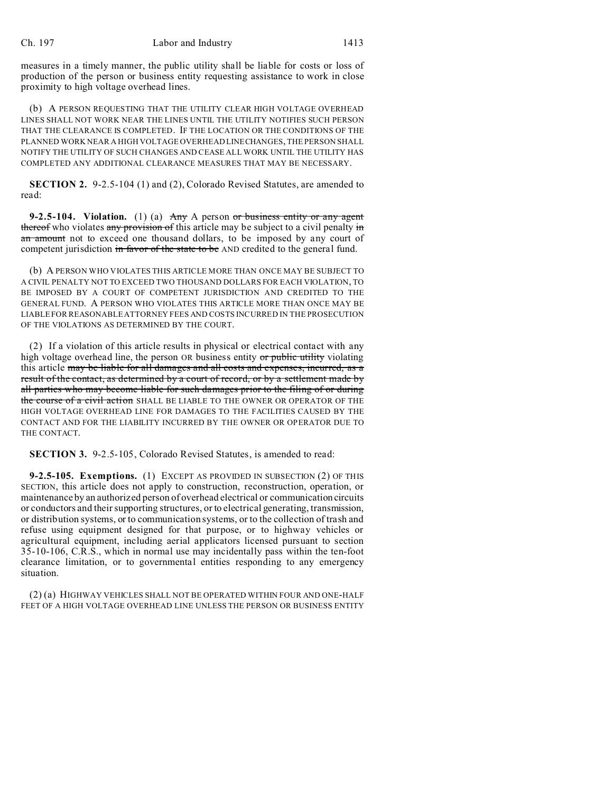measures in a timely manner, the public utility shall be liable for costs or loss of production of the person or business entity requesting assistance to work in close proximity to high voltage overhead lines.

(b) A PERSON REQUESTING THAT THE UTILITY CLEAR HIGH VOLTAGE OVERHEAD LINES SHALL NOT WORK NEAR THE LINES UNTIL THE UTILITY NOTIFIES SUCH PERSON THAT THE CLEARANCE IS COMPLETED. IF THE LOCATION OR THE CONDITIONS OF THE PLANNED WORK NEAR A HIGH VOLTAGE OVERHEAD LINECHANGES, THE PERSON SHALL NOTIFY THE UTILITY OF SUCH CHANGES AND CEASE ALL WORK UNTIL THE UTILITY HAS COMPLETED ANY ADDITIONAL CLEARANCE MEASURES THAT MAY BE NECESSARY.

**SECTION 2.** 9-2.5-104 (1) and (2), Colorado Revised Statutes, are amended to read:

**9-2.5-104. Violation.** (1) (a) Any A person or business entity or any agent thereof who violates any provision of this article may be subject to a civil penalty in an amount not to exceed one thousand dollars, to be imposed by any court of competent jurisdiction in favor of the state to be AND credited to the general fund.

(b) A PERSON WHO VIOLATES THIS ARTICLE MORE THAN ONCE MAY BE SUBJECT TO A CIVIL PENALTY NOT TO EXCEED TWO THOUSAND DOLLARS FOR EACH VIOLATION, TO BE IMPOSED BY A COURT OF COMPETENT JURISDICTION AND CREDITED TO THE GENERAL FUND. A PERSON WHO VIOLATES THIS ARTICLE MORE THAN ONCE MAY BE LIABLE FOR REASONABLE ATTORNEY FEES AND COSTS INCURRED IN THE PROSECUTION OF THE VIOLATIONS AS DETERMINED BY THE COURT.

(2) If a violation of this article results in physical or electrical contact with any high voltage overhead line, the person OR business entity or public utility violating this article may be liable for all damages and all costs and expenses, incurred, as a result of the contact, as determined by a court of record, or by a settlement made by all parties who may become liable for such damages prior to the filing of or during the course of a civil action SHALL BE LIABLE TO THE OWNER OR OPERATOR OF THE HIGH VOLTAGE OVERHEAD LINE FOR DAMAGES TO THE FACILITIES CAUSED BY THE CONTACT AND FOR THE LIABILITY INCURRED BY THE OWNER OR OPERATOR DUE TO THE CONTACT.

**SECTION 3.** 9-2.5-105, Colorado Revised Statutes, is amended to read:

**9-2.5-105. Exemptions.** (1) EXCEPT AS PROVIDED IN SUBSECTION (2) OF THIS SECTION, this article does not apply to construction, reconstruction, operation, or maintenance by an authorized person of overhead electrical or communication circuits or conductors and their supporting structures, or to electrical generating, transmission, or distribution systems, or to communication systems, or to the collection of trash and refuse using equipment designed for that purpose, or to highway vehicles or agricultural equipment, including aerial applicators licensed pursuant to section 35-10-106, C.R.S., which in normal use may incidentally pass within the ten-foot clearance limitation, or to governmental entities responding to any emergency situation.

(2) (a) HIGHWAY VEHICLES SHALL NOT BE OPERATED WITHIN FOUR AND ONE-HALF FEET OF A HIGH VOLTAGE OVERHEAD LINE UNLESS THE PERSON OR BUSINESS ENTITY